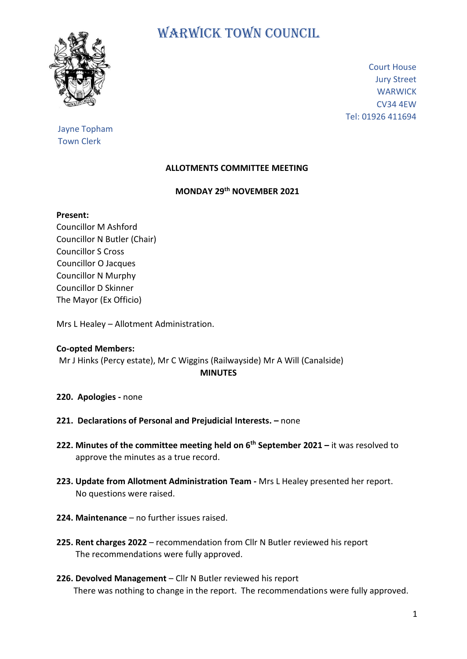

# WARWICK TOWN COUNCIL

Court House Jury Street **WARWICK** CV34 4EW Tel: 01926 411694

## Jayne Topham Town Clerk

## **ALLOTMENTS COMMITTEE MEETING**

### **MONDAY 29 th NOVEMBER 2021**

#### **Present:**

Councillor M Ashford Councillor N Butler (Chair) Councillor S Cross Councillor O Jacques Councillor N Murphy Councillor D Skinner The Mayor (Ex Officio)

Mrs L Healey – Allotment Administration.

## **Co-opted Members:**

Mr J Hinks (Percy estate), Mr C Wiggins (Railwayside) Mr A Will (Canalside)  **MINUTES**

- **220. Apologies -** none
- **221. Declarations of Personal and Prejudicial Interests. –** none
- **222. Minutes of the committee meeting held on 6 th September 2021 –** it was resolved to approve the minutes as a true record.
- **223. Update from Allotment Administration Team -** Mrs L Healey presented her report. No questions were raised.
- **224. Maintenance** no further issues raised.
- **225. Rent charges 2022** recommendation from Cllr N Butler reviewed his report The recommendations were fully approved.
- **226. Devolved Management** Cllr N Butler reviewed his report There was nothing to change in the report. The recommendations were fully approved.